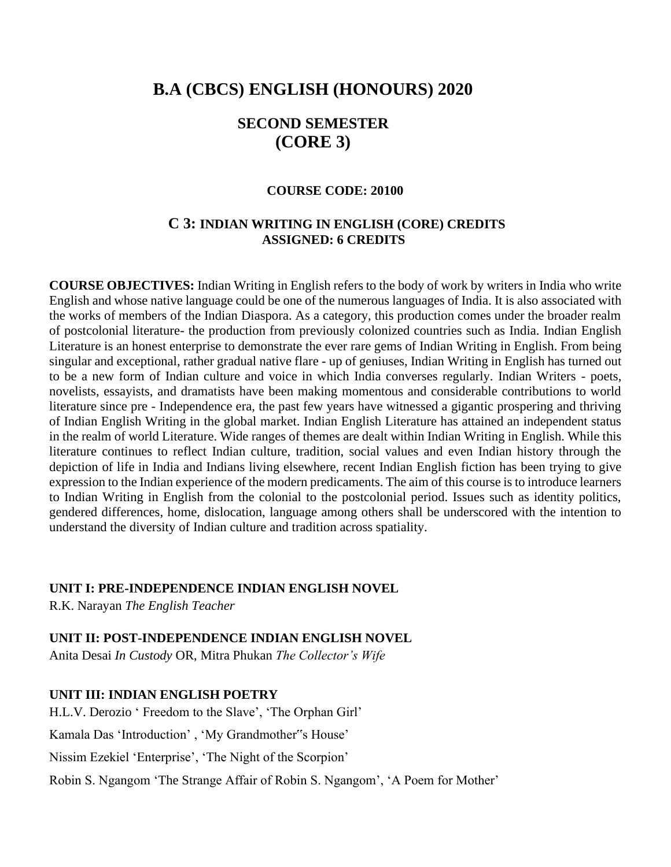# **B.A (CBCS) ENGLISH (HONOURS) 2020**

# **SECOND SEMESTER (CORE 3)**

#### **COURSE CODE: 20100**

# **C 3: INDIAN WRITING IN ENGLISH (CORE) CREDITS ASSIGNED: 6 CREDITS**

**COURSE OBJECTIVES:** Indian Writing in English refers to the body of work by writers in India who write English and whose native language could be one of the numerous languages of India. It is also associated with the works of members of the Indian Diaspora. As a category, this production comes under the broader realm of postcolonial literature- the production from previously colonized countries such as India. Indian English Literature is an honest enterprise to demonstrate the ever rare gems of Indian Writing in English. From being singular and exceptional, rather gradual native flare - up of geniuses, Indian Writing in English has turned out to be a new form of Indian culture and voice in which India converses regularly. Indian Writers - poets, novelists, essayists, and dramatists have been making momentous and considerable contributions to world literature since pre - Independence era, the past few years have witnessed a gigantic prospering and thriving of Indian English Writing in the global market. Indian English Literature has attained an independent status in the realm of world Literature. Wide ranges of themes are dealt within Indian Writing in English. While this literature continues to reflect Indian culture, tradition, social values and even Indian history through the depiction of life in India and Indians living elsewhere, recent Indian English fiction has been trying to give expression to the Indian experience of the modern predicaments. The aim of this course is to introduce learners to Indian Writing in English from the colonial to the postcolonial period. Issues such as identity politics, gendered differences, home, dislocation, language among others shall be underscored with the intention to understand the diversity of Indian culture and tradition across spatiality.

#### **UNIT I: PRE-INDEPENDENCE INDIAN ENGLISH NOVEL**

R.K. Narayan *The English Teacher*

**UNIT II: POST-INDEPENDENCE INDIAN ENGLISH NOVEL** 

Anita Desai *In Custody* OR, Mitra Phukan *The Collector's Wife*

#### **UNIT III: INDIAN ENGLISH POETRY**

H.L.V. Derozio ' Freedom to the Slave', 'The Orphan Girl'

Kamala Das 'Introduction' , 'My Grandmother"s House'

Nissim Ezekiel 'Enterprise', 'The Night of the Scorpion'

Robin S. Ngangom 'The Strange Affair of Robin S. Ngangom', 'A Poem for Mother'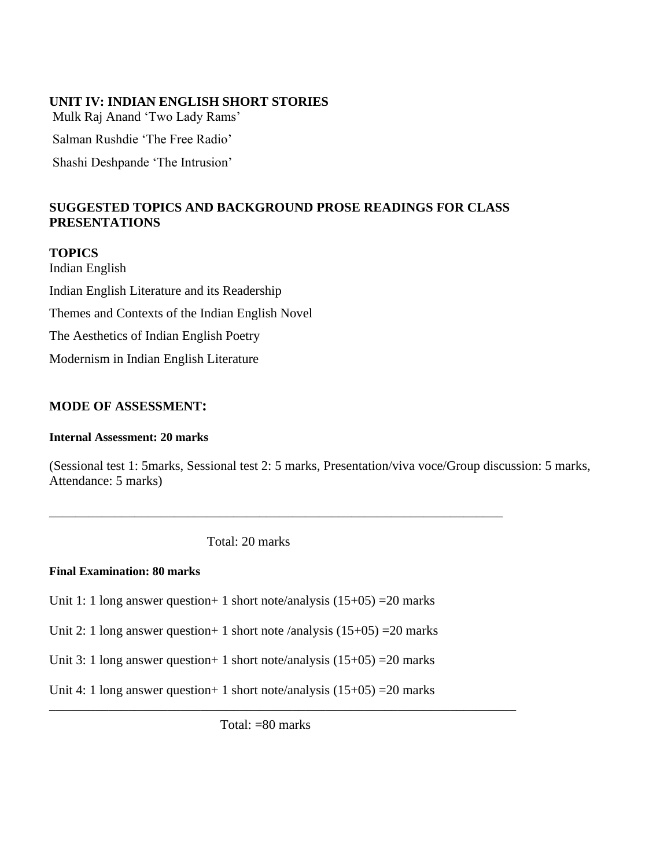#### **UNIT IV: INDIAN ENGLISH SHORT STORIES**

Mulk Raj Anand 'Two Lady Rams' Salman Rushdie 'The Free Radio' Shashi Deshpande 'The Intrusion'

# **SUGGESTED TOPICS AND BACKGROUND PROSE READINGS FOR CLASS PRESENTATIONS**

# **TOPICS** Indian English Indian English Literature and its Readership Themes and Contexts of the Indian English Novel The Aesthetics of Indian English Poetry Modernism in Indian English Literature

#### **MODE OF ASSESSMENT:**

#### **Internal Assessment: 20 marks**

(Sessional test 1: 5marks, Sessional test 2: 5 marks, Presentation/viva voce/Group discussion: 5 marks, Attendance: 5 marks)

Total: 20 marks

\_\_\_\_\_\_\_\_\_\_\_\_\_\_\_\_\_\_\_\_\_\_\_\_\_\_\_\_\_\_\_\_\_\_\_\_\_\_\_\_\_\_\_\_\_\_\_\_\_\_\_\_\_\_\_\_\_\_\_\_\_\_\_\_\_\_\_\_\_

#### **Final Examination: 80 marks**

Unit 1: 1 long answer question + 1 short note/analysis  $(15+05)$  = 20 marks

Unit 2: 1 long answer question + 1 short note /analysis  $(15+05)$  = 20 marks

Unit 3: 1 long answer question + 1 short note/analysis  $(15+05)$  = 20 marks

Unit 4: 1 long answer question + 1 short note/analysis  $(15+05)$  = 20 marks

Total: =80 marks

\_\_\_\_\_\_\_\_\_\_\_\_\_\_\_\_\_\_\_\_\_\_\_\_\_\_\_\_\_\_\_\_\_\_\_\_\_\_\_\_\_\_\_\_\_\_\_\_\_\_\_\_\_\_\_\_\_\_\_\_\_\_\_\_\_\_\_\_\_\_\_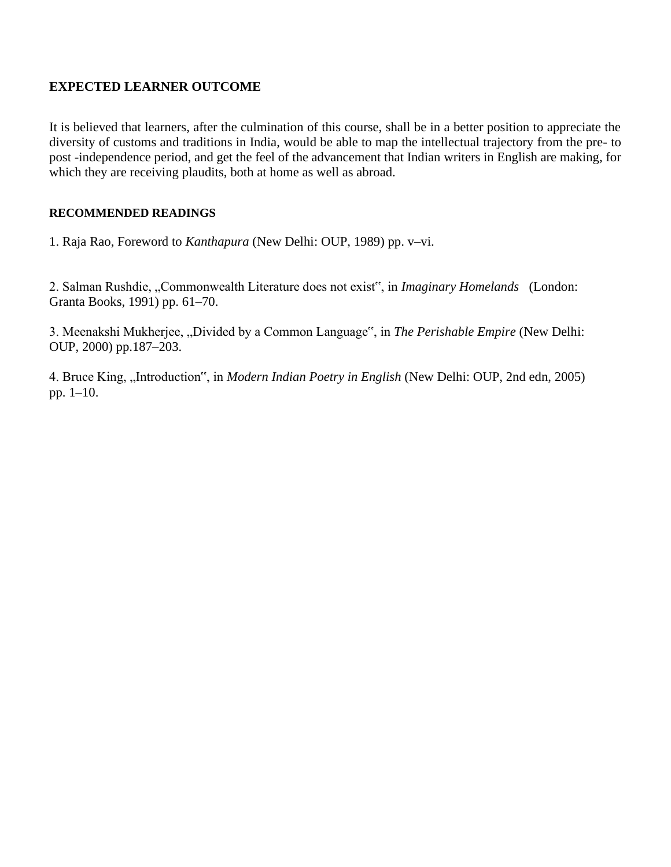# **EXPECTED LEARNER OUTCOME**

It is believed that learners, after the culmination of this course, shall be in a better position to appreciate the diversity of customs and traditions in India, would be able to map the intellectual trajectory from the pre- to post -independence period, and get the feel of the advancement that Indian writers in English are making, for which they are receiving plaudits, both at home as well as abroad.

#### **RECOMMENDED READINGS**

1. Raja Rao, Foreword to *Kanthapura* (New Delhi: OUP, 1989) pp. v–vi.

2. Salman Rushdie, "Commonwealth Literature does not exist", in *Imaginary Homelands* (London: Granta Books, 1991) pp. 61–70.

3. Meenakshi Mukherjee, "Divided by a Common Language", in *The Perishable Empire* (New Delhi: OUP, 2000) pp.187–203.

4. Bruce King, "Introduction", in *Modern Indian Poetry in English* (New Delhi: OUP, 2nd edn, 2005) pp. 1–10.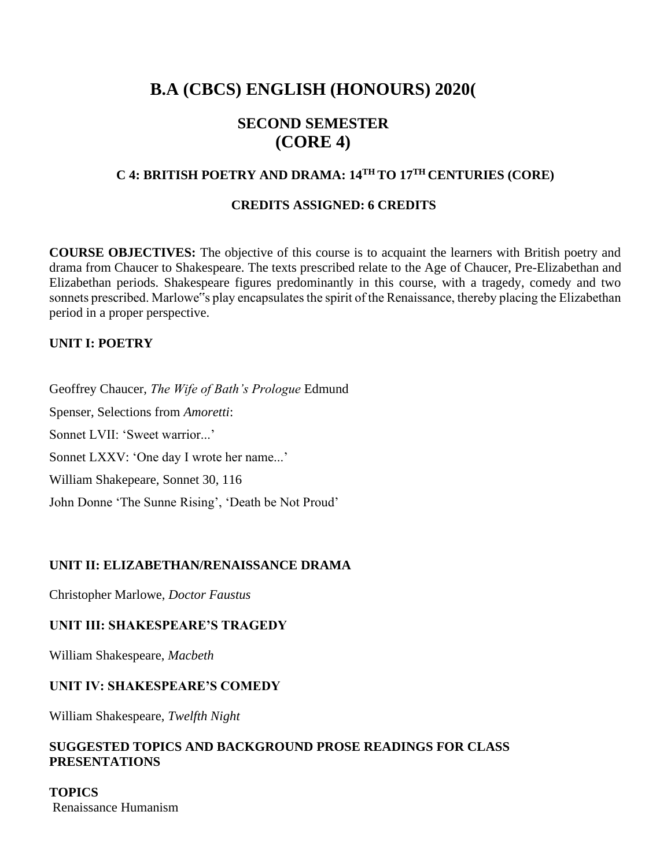# **B.A (CBCS) ENGLISH (HONOURS) 2020(**

# **SECOND SEMESTER (CORE 4)**

#### **C 4: BRITISH POETRY AND DRAMA: 14TH TO 17TH CENTURIES (CORE)**

#### **CREDITS ASSIGNED: 6 CREDITS**

**COURSE OBJECTIVES:** The objective of this course is to acquaint the learners with British poetry and drama from Chaucer to Shakespeare. The texts prescribed relate to the Age of Chaucer, Pre-Elizabethan and Elizabethan periods. Shakespeare figures predominantly in this course, with a tragedy, comedy and two sonnets prescribed. Marlowe"s play encapsulates the spirit of the Renaissance, thereby placing the Elizabethan period in a proper perspective.

# **UNIT I: POETRY**

Geoffrey Chaucer, *The Wife of Bath's Prologue* Edmund Spenser, Selections from *Amoretti*: Sonnet LVII: 'Sweet warrior...' Sonnet LXXV: 'One day I wrote her name...' William Shakepeare, Sonnet 30, 116 John Donne 'The Sunne Rising', 'Death be Not Proud'

#### **UNIT II: ELIZABETHAN/RENAISSANCE DRAMA**

Christopher Marlowe, *Doctor Faustus*

#### **UNIT III: SHAKESPEARE'S TRAGEDY**

William Shakespeare, *Macbeth*

#### **UNIT IV: SHAKESPEARE'S COMEDY**

William Shakespeare, *Twelfth Night*

#### **SUGGESTED TOPICS AND BACKGROUND PROSE READINGS FOR CLASS PRESENTATIONS**

**TOPICS** Renaissance Humanism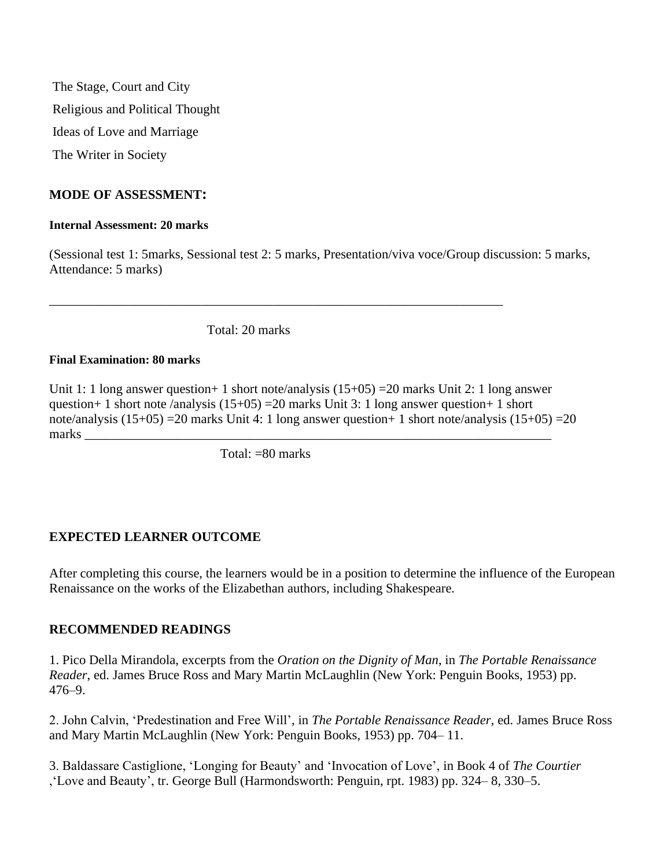The Stage, Court and City Religious and Political Thought Ideas of Love and Marriage The Writer in Society

#### **MODE OF ASSESSMENT:**

#### **Internal Assessment: 20 marks**

(Sessional test 1: 5marks, Sessional test 2: 5 marks, Presentation/viva voce/Group discussion: 5 marks, Attendance: 5 marks)

Total: 20 marks

\_\_\_\_\_\_\_\_\_\_\_\_\_\_\_\_\_\_\_\_\_\_\_\_\_\_\_\_\_\_\_\_\_\_\_\_\_\_\_\_\_\_\_\_\_\_\_\_\_\_\_\_\_\_\_\_\_\_\_\_\_\_\_\_\_\_\_\_\_

#### **Final Examination: 80 marks**

Unit 1: 1 long answer question+ 1 short note/analysis (15+05) = 20 marks Unit 2: 1 long answer question+ 1 short note /analysis  $(15+05)$  =20 marks Unit 3: 1 long answer question+ 1 short note/analysis  $(15+05)$  = 20 marks Unit 4: 1 long answer question + 1 short note/analysis  $(15+05)$  = 20 marks

Total: =80 marks

# **EXPECTED LEARNER OUTCOME**

After completing this course, the learners would be in a position to determine the influence of the European Renaissance on the works of the Elizabethan authors, including Shakespeare.

#### **RECOMMENDED READINGS**

1. Pico Della Mirandola, excerpts from the *Oration on the Dignity of Man*, in *The Portable Renaissance Reader*, ed. James Bruce Ross and Mary Martin McLaughlin (New York: Penguin Books, 1953) pp. 476–9.

2. John Calvin, 'Predestination and Free Will', in *The Portable Renaissance Reader*, ed. James Bruce Ross and Mary Martin McLaughlin (New York: Penguin Books, 1953) pp. 704– 11.

3. Baldassare Castiglione, 'Longing for Beauty' and 'Invocation of Love', in Book 4 of *The Courtier* ,'Love and Beauty', tr. George Bull (Harmondsworth: Penguin, rpt. 1983) pp. 324– 8, 330–5.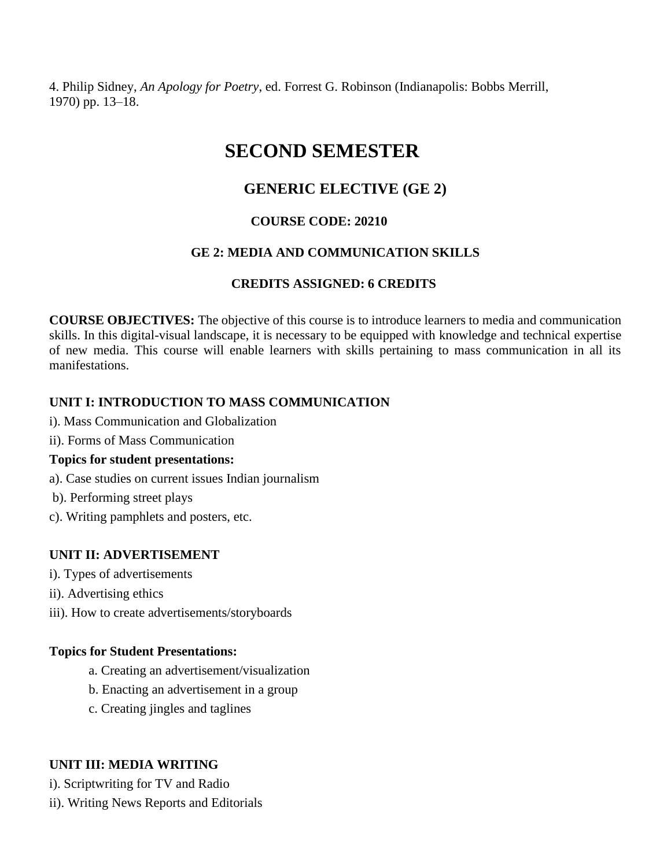4. Philip Sidney, *An Apology for Poetry*, ed. Forrest G. Robinson (Indianapolis: Bobbs Merrill, 1970) pp. 13–18.

# **SECOND SEMESTER**

# **GENERIC ELECTIVE (GE 2)**

# **COURSE CODE: 20210**

# **GE 2: MEDIA AND COMMUNICATION SKILLS**

# **CREDITS ASSIGNED: 6 CREDITS**

**COURSE OBJECTIVES:** The objective of this course is to introduce learners to media and communication skills. In this digital-visual landscape, it is necessary to be equipped with knowledge and technical expertise of new media. This course will enable learners with skills pertaining to mass communication in all its manifestations.

# **UNIT I: INTRODUCTION TO MASS COMMUNICATION**

- i). Mass Communication and Globalization
- ii). Forms of Mass Communication

# **Topics for student presentations:**

- a). Case studies on current issues Indian journalism
- b). Performing street plays
- c). Writing pamphlets and posters, etc.

# **UNIT II: ADVERTISEMENT**

- i). Types of advertisements
- ii). Advertising ethics
- iii). How to create advertisements/storyboards

# **Topics for Student Presentations:**

- a. Creating an advertisement/visualization
- b. Enacting an advertisement in a group
- c. Creating jingles and taglines

# **UNIT III: MEDIA WRITING**

i). Scriptwriting for TV and Radio

ii). Writing News Reports and Editorials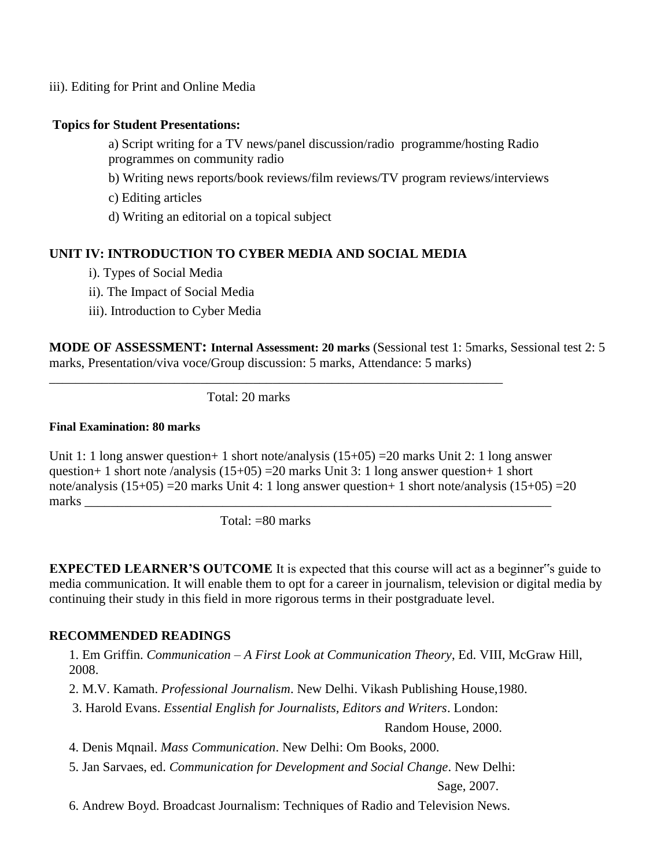iii). Editing for Print and Online Media

#### **Topics for Student Presentations:**

a) Script writing for a TV news/panel discussion/radio programme/hosting Radio programmes on community radio

b) Writing news reports/book reviews/film reviews/TV program reviews/interviews

c) Editing articles

d) Writing an editorial on a topical subject

# **UNIT IV: INTRODUCTION TO CYBER MEDIA AND SOCIAL MEDIA**

- i). Types of Social Media
- ii). The Impact of Social Media
- iii). Introduction to Cyber Media

**MODE OF ASSESSMENT: Internal Assessment: 20 marks** (Sessional test 1: 5marks, Sessional test 2: 5 marks, Presentation/viva voce/Group discussion: 5 marks, Attendance: 5 marks)

Total: 20 marks

\_\_\_\_\_\_\_\_\_\_\_\_\_\_\_\_\_\_\_\_\_\_\_\_\_\_\_\_\_\_\_\_\_\_\_\_\_\_\_\_\_\_\_\_\_\_\_\_\_\_\_\_\_\_\_\_\_\_\_\_\_\_\_\_\_\_\_\_\_

#### **Final Examination: 80 marks**

Unit 1: 1 long answer question + 1 short note/analysis  $(15+05)$  = 20 marks Unit 2: 1 long answer question+ 1 short note /analysis  $(15+05)$  = 20 marks Unit 3: 1 long answer question+ 1 short note/analysis (15+05) =20 marks Unit 4: 1 long answer question+ 1 short note/analysis (15+05) =20 marks **weeks** 

Total: =80 marks

**EXPECTED LEARNER'S OUTCOME** It is expected that this course will act as a beginner 's guide to media communication. It will enable them to opt for a career in journalism, television or digital media by continuing their study in this field in more rigorous terms in their postgraduate level.

# **RECOMMENDED READINGS**

1. Em Griffin. *Communication – A First Look at Communication Theory*, Ed. VIII, McGraw Hill, 2008.

2. M.V. Kamath. *Professional Journalism*. New Delhi. Vikash Publishing House,1980.

3. Harold Evans. *Essential English for Journalists, Editors and Writers*. London:

Random House, 2000.

4. Denis Mqnail. *Mass Communication*. New Delhi: Om Books, 2000.

5. Jan Sarvaes, ed. *Communication for Development and Social Change*. New Delhi:

Sage, 2007.

6. Andrew Boyd. Broadcast Journalism: Techniques of Radio and Television News.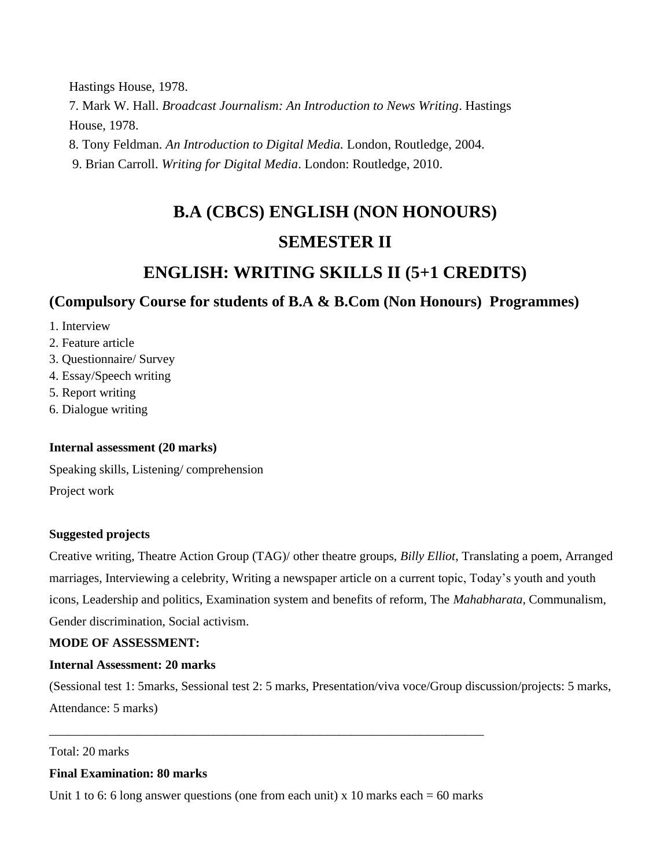Hastings House, 1978. 7. Mark W. Hall. *Broadcast Journalism: An Introduction to News Writing*. Hastings House, 1978. 8. Tony Feldman. *An Introduction to Digital Media.* London, Routledge, 2004.

9. Brian Carroll. *Writing for Digital Media*. London: Routledge, 2010.

# **B.A (CBCS) ENGLISH (NON HONOURS) SEMESTER II**

# **ENGLISH: WRITING SKILLS II (5+1 CREDITS)**

# **(Compulsory Course for students of B.A & B.Com (Non Honours) Programmes)**

1. Interview

2. Feature article

- 3. Questionnaire/ Survey
- 4. Essay/Speech writing
- 5. Report writing
- 6. Dialogue writing

# **Internal assessment (20 marks)**

Speaking skills, Listening/ comprehension Project work

# **Suggested projects**

Creative writing, Theatre Action Group (TAG)/ other theatre groups, *Billy Elliot*, Translating a poem, Arranged marriages, Interviewing a celebrity, Writing a newspaper article on a current topic, Today's youth and youth icons, Leadership and politics, Examination system and benefits of reform, The *Mahabharata*, Communalism, Gender discrimination, Social activism.

# **MODE OF ASSESSMENT:**

# **Internal Assessment: 20 marks**

(Sessional test 1: 5marks, Sessional test 2: 5 marks, Presentation/viva voce/Group discussion/projects: 5 marks, Attendance: 5 marks)

Total: 20 marks

# **Final Examination: 80 marks**

Unit 1 to 6: 6 long answer questions (one from each unit) x 10 marks each  $= 60$  marks

\_\_\_\_\_\_\_\_\_\_\_\_\_\_\_\_\_\_\_\_\_\_\_\_\_\_\_\_\_\_\_\_\_\_\_\_\_\_\_\_\_\_\_\_\_\_\_\_\_\_\_\_\_\_\_\_\_\_\_\_\_\_\_\_\_\_\_\_\_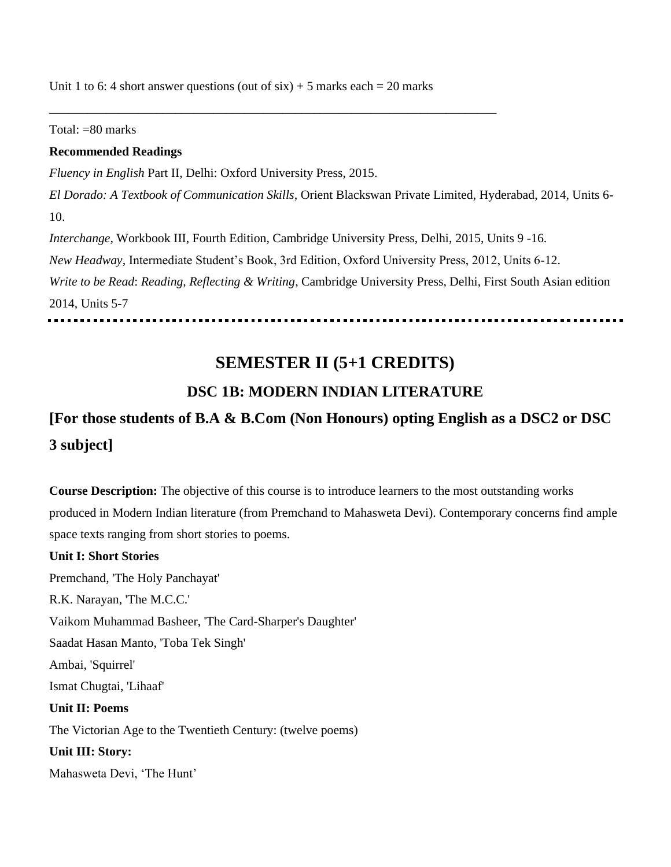Unit 1 to 6: 4 short answer questions (out of  $\sin$ ) + 5 marks each = 20 marks

\_\_\_\_\_\_\_\_\_\_\_\_\_\_\_\_\_\_\_\_\_\_\_\_\_\_\_\_\_\_\_\_\_\_\_\_\_\_\_\_\_\_\_\_\_\_\_\_\_\_\_\_\_\_\_\_\_\_\_\_\_\_\_\_\_\_\_\_\_\_\_

Total: =80 marks

#### **Recommended Readings**

*Fluency in English* Part II, Delhi: Oxford University Press, 2015. *El Dorado: A Textbook of Communication Skills*, Orient Blackswan Private Limited, Hyderabad, 2014, Units 6- 10. *Interchange,* Workbook III, Fourth Edition, Cambridge University Press, Delhi, 2015, Units 9 -16. *New Headway,* Intermediate Student's Book, 3rd Edition, Oxford University Press, 2012, Units 6-12. *Write to be Read*: *Reading, Reflecting & Writing*, Cambridge University Press, Delhi, First South Asian edition 2014, Units 5-7

# **SEMESTER II (5+1 CREDITS)**

# **DSC 1B: MODERN INDIAN LITERATURE**

# **[For those students of B.A & B.Com (Non Honours) opting English as a DSC2 or DSC 3 subject]**

**Course Description:** The objective of this course is to introduce learners to the most outstanding works produced in Modern Indian literature (from Premchand to Mahasweta Devi). Contemporary concerns find ample space texts ranging from short stories to poems.

#### **Unit I: Short Stories**

Premchand, 'The Holy Panchayat' R.K. Narayan, 'The M.C.C.' Vaikom Muhammad Basheer, 'The Card-Sharper's Daughter' Saadat Hasan Manto, 'Toba Tek Singh' Ambai, 'Squirrel' Ismat Chugtai, 'Lihaaf' **Unit II: Poems**  The Victorian Age to the Twentieth Century: (twelve poems) **Unit III: Story:**  Mahasweta Devi, 'The Hunt'